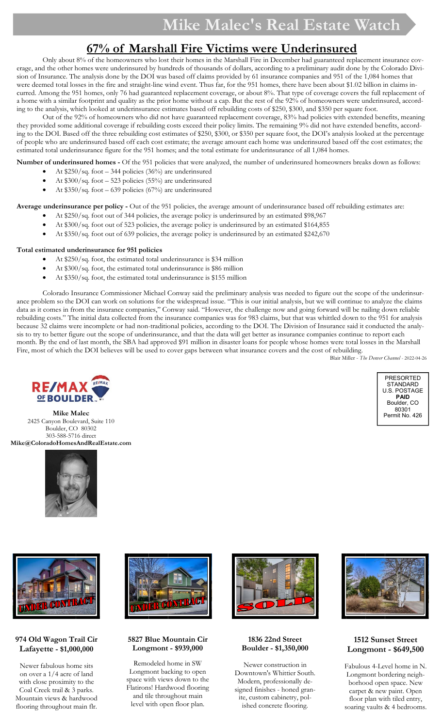# **67% of Marshall Fire Victims were Underinsured**

 Only about 8% of the homeowners who lost their homes in the Marshall Fire in December had guaranteed replacement insurance coverage, and the other homes were underinsured by hundreds of thousands of dollars, according to a preliminary audit done by the Colorado Division of Insurance. The analysis done by the DOI was based off claims provided by 61 insurance companies and 951 of the 1,084 homes that were deemed total losses in the fire and straight-line wind event. Thus far, for the 951 homes, there have been about \$1.02 billion in claims incurred. Among the 951 homes, only 76 had guaranteed replacement coverage, or about 8%. That type of coverage covers the full replacement of a home with a similar footprint and quality as the prior home without a cap. But the rest of the 92% of homeowners were underinsured, according to the analysis, which looked at underinsurance estimates based off rebuilding costs of \$250, \$300, and \$350 per square foot.

 Out of the 92% of homeowners who did not have guaranteed replacement coverage, 83% had policies with extended benefits, meaning they provided some additional coverage if rebuilding costs exceed their policy limits. The remaining 9% did not have extended benefits, according to the DOI. Based off the three rebuilding cost estimates of \$250, \$300, or \$350 per square foot, the DOI's analysis looked at the percentage of people who are underinsured based off each cost estimate; the average amount each home was underinsured based off the cost estimates; the estimated total underinsurance figure for the 951 homes; and the total estimate for underinsurance of all 1,084 homes.

**Number of underinsured homes -** Of the 951 policies that were analyzed, the number of underinsured homeowners breaks down as follows:

- At \$250/sq. foot 344 policies (36%) are underinsured
- At \$300/sq. foot 523 policies (55%) are underinsured
- At  $$350/sq. foot 639 policies (67%) are underinsured$

**Average underinsurance per policy -** Out of the 951 policies, the average amount of underinsurance based off rebuilding estimates are:

- At \$250/sq. foot out of 344 policies, the average policy is underinsured by an estimated \$98,967
- At \$300/sq. foot out of 523 policies, the average policy is underinsured by an estimated \$164,855
- At \$350/sq. foot out of 639 policies, the average policy is underinsured by an estimated \$242,670

#### **Total estimated underinsurance for 951 policies**

- At \$250/sq. foot, the estimated total underinsurance is \$34 million
- At \$300/sq. foot, the estimated total underinsurance is \$86 million
- At \$350/sq. foot, the estimated total underinsurance is \$155 million

Colorado Insurance Commissioner Michael Conway said the preliminary analysis was needed to figure out the scope of the underinsurance problem so the DOI can work on solutions for the widespread issue. "This is our initial analysis, but we will continue to analyze the claims data as it comes in from the insurance companies," Conway said. "However, the challenge now and going forward will be nailing down reliable rebuilding costs." The initial data collected from the insurance companies was for 983 claims, but that was whittled down to the 951 for analysis because 32 claims were incomplete or had non-traditional policies, according to the DOI. The Division of Insurance said it conducted the analysis to try to better figure out the scope of underinsurance, and that the data will get better as insurance companies continue to report each month. By the end of last month, the SBA had approved \$91 million in disaster loans for people whose homes were total losses in the Marshall Fire, most of which the DOI believes will be used to cover gaps between what insurance covers and the cost of rebuilding.

Blair Miller - *The Denver Channel* - 2022-04-26



**Mike Malec**  2425 Canyon Boulevard, Suite 110 Boulder, CO 80302 303-588-5716 direct **Mike@ColoradoHomesAndRealEstate.com**









## **974 Old Wagon Trail Cir Lafayette - \$1,000,000**

Newer fabulous home sits on over a 1/4 acre of land with close proximity to the Coal Creek trail & 3 parks. Mountain views & hardwood flooring throughout main flr.



#### **5827 Blue Mountain Cir Longmont - \$939,000**

Remodeled home in SW Longmont backing to open space with views down to the Flatirons! Hardwood flooring and tile throughout main level with open floor plan.



#### **1836 22nd Street Boulder - \$1,350,000**

Newer construction in Downtown's Whittier South. Modern, professionally designed finishes - honed granite, custom cabinetry, polished concrete flooring.



## **1512 Sunset Street Longmont - \$649,500**

Fabulous 4-Level home in N. Longmont bordering neighborhood open space. New carpet & new paint. Open floor plan with tiled entry, soaring vaults & 4 bedrooms.